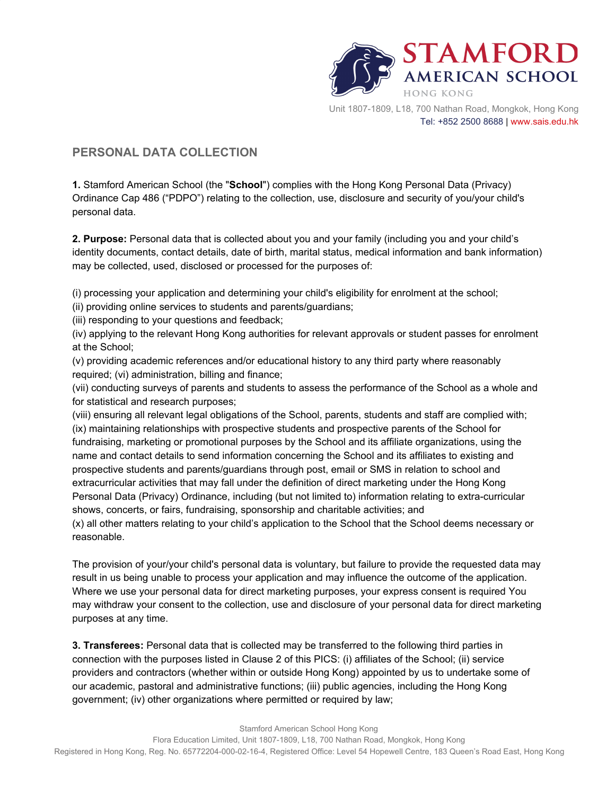

## **PERSONAL DATA COLLECTION**

**1.** Stamford American School (the "**School**") complies with the Hong Kong Personal Data (Privacy) Ordinance Cap 486 ("PDPO") relating to the collection, use, disclosure and security of you/your child's personal data.

**2. Purpose:** Personal data that is collected about you and your family (including you and your child's identity documents, contact details, date of birth, marital status, medical information and bank information) may be collected, used, disclosed or processed for the purposes of:

(i) processing your application and determining your child's eligibility for enrolment at the school;

(ii) providing online services to students and parents/guardians;

(iii) responding to your questions and feedback;

(iv) applying to the relevant Hong Kong authorities for relevant approvals or student passes for enrolment at the School;

(v) providing academic references and/or educational history to any third party where reasonably required; (vi) administration, billing and finance;

(vii) conducting surveys of parents and students to assess the performance of the School as a whole and for statistical and research purposes;

(viii) ensuring all relevant legal obligations of the School, parents, students and staff are complied with; (ix) maintaining relationships with prospective students and prospective parents of the School for fundraising, marketing or promotional purposes by the School and its affiliate organizations, using the name and contact details to send information concerning the School and its affiliates to existing and prospective students and parents/guardians through post, email or SMS in relation to school and extracurricular activities that may fall under the definition of direct marketing under the Hong Kong Personal Data (Privacy) Ordinance, including (but not limited to) information relating to extra-curricular shows, concerts, or fairs, fundraising, sponsorship and charitable activities; and

(x) all other matters relating to your child's application to the School that the School deems necessary or reasonable.

The provision of your/your child's personal data is voluntary, but failure to provide the requested data may result in us being unable to process your application and may influence the outcome of the application. Where we use your personal data for direct marketing purposes, your express consent is required You may withdraw your consent to the collection, use and disclosure of your personal data for direct marketing purposes at any time.

**3. Transferees:** Personal data that is collected may be transferred to the following third parties in connection with the purposes listed in Clause 2 of this PICS: (i) affiliates of the School; (ii) service providers and contractors (whether within or outside Hong Kong) appointed by us to undertake some of our academic, pastoral and administrative functions; (iii) public agencies, including the Hong Kong government; (iv) other organizations where permitted or required by law;